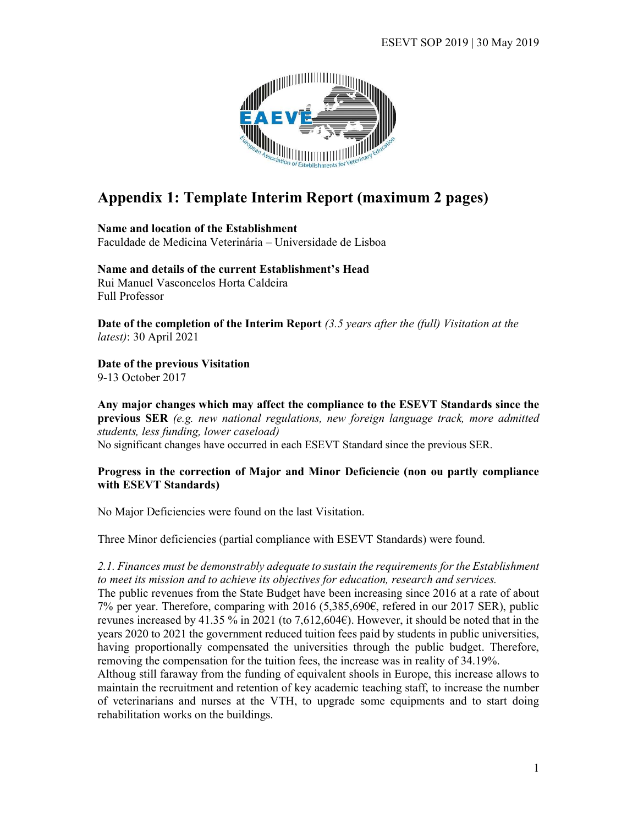

# Appendix 1: Template Interim Report (maximum 2 pages)

Name and location of the Establishment Faculdade de Medicina Veterinária – Universidade de Lisboa

Name and details of the current Establishment's Head Rui Manuel Vasconcelos Horta Caldeira Full Professor

Date of the completion of the Interim Report  $(3.5 \text{ years after the (full) } V$  isitation at the latest): 30 April 2021

Date of the previous Visitation

9-13 October 2017

Any major changes which may affect the compliance to the ESEVT Standards since the previous SER (e.g. new national regulations, new foreign language track, more admitted students, less funding, lower caseload) No significant changes have occurred in each ESEVT Standard since the previous SER.

#### Progress in the correction of Major and Minor Deficiencie (non ou partly compliance with ESEVT Standards)

No Major Deficiencies were found on the last Visitation.

Three Minor deficiencies (partial compliance with ESEVT Standards) were found.

2.1. Finances must be demonstrably adequate to sustain the requirements for the Establishment to meet its mission and to achieve its objectives for education, research and services.

The public revenues from the State Budget have been increasing since 2016 at a rate of about 7% per year. Therefore, comparing with 2016 (5,385,690€, refered in our 2017 SER), public revunes increased by 41.35 % in 2021 (to 7,612,604€). However, it should be noted that in the years 2020 to 2021 the government reduced tuition fees paid by students in public universities, having proportionally compensated the universities through the public budget. Therefore, removing the compensation for the tuition fees, the increase was in reality of 34.19%.

Althoug still faraway from the funding of equivalent shools in Europe, this increase allows to maintain the recruitment and retention of key academic teaching staff, to increase the number of veterinarians and nurses at the VTH, to upgrade some equipments and to start doing rehabilitation works on the buildings.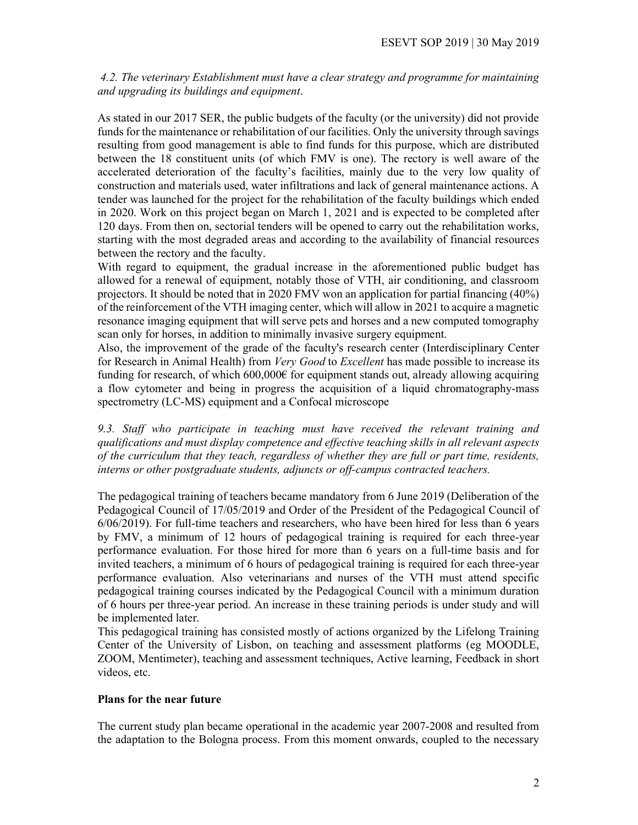4.2. The veterinary Establishment must have a clear strategy and programme for maintaining and upgrading its buildings and equipment.

As stated in our 2017 SER, the public budgets of the faculty (or the university) did not provide funds for the maintenance or rehabilitation of our facilities. Only the university through savings resulting from good management is able to find funds for this purpose, which are distributed between the 18 constituent units (of which FMV is one). The rectory is well aware of the accelerated deterioration of the faculty's facilities, mainly due to the very low quality of construction and materials used, water infiltrations and lack of general maintenance actions. A tender was launched for the project for the rehabilitation of the faculty buildings which ended in 2020. Work on this project began on March 1, 2021 and is expected to be completed after 120 days. From then on, sectorial tenders will be opened to carry out the rehabilitation works, starting with the most degraded areas and according to the availability of financial resources between the rectory and the faculty.

With regard to equipment, the gradual increase in the aforementioned public budget has allowed for a renewal of equipment, notably those of VTH, air conditioning, and classroom projectors. It should be noted that in 2020 FMV won an application for partial financing (40%) of the reinforcement of the VTH imaging center, which will allow in 2021 to acquire a magnetic resonance imaging equipment that will serve pets and horses and a new computed tomography scan only for horses, in addition to minimally invasive surgery equipment.

Also, the improvement of the grade of the faculty's research center (Interdisciplinary Center for Research in Animal Health) from Very Good to Excellent has made possible to increase its funding for research, of which  $600,000 \in \mathbb{R}$  for equipment stands out, already allowing acquiring a flow cytometer and being in progress the acquisition of a liquid chromatography-mass spectrometry (LC-MS) equipment and a Confocal microscope

9.3. Staff who participate in teaching must have received the relevant training and qualifications and must display competence and effective teaching skills in all relevant aspects of the curriculum that they teach, regardless of whether they are full or part time, residents, interns or other postgraduate students, adjuncts or off-campus contracted teachers.

The pedagogical training of teachers became mandatory from 6 June 2019 (Deliberation of the Pedagogical Council of 17/05/2019 and Order of the President of the Pedagogical Council of 6/06/2019). For full-time teachers and researchers, who have been hired for less than 6 years by FMV, a minimum of 12 hours of pedagogical training is required for each three-year performance evaluation. For those hired for more than 6 years on a full-time basis and for invited teachers, a minimum of 6 hours of pedagogical training is required for each three-year performance evaluation. Also veterinarians and nurses of the VTH must attend specific pedagogical training courses indicated by the Pedagogical Council with a minimum duration of 6 hours per three-year period. An increase in these training periods is under study and will be implemented later.

This pedagogical training has consisted mostly of actions organized by the Lifelong Training Center of the University of Lisbon, on teaching and assessment platforms (eg MOODLE, ZOOM, Mentimeter), teaching and assessment techniques, Active learning, Feedback in short videos, etc.

## Plans for the near future

The current study plan became operational in the academic year 2007-2008 and resulted from the adaptation to the Bologna process. From this moment onwards, coupled to the necessary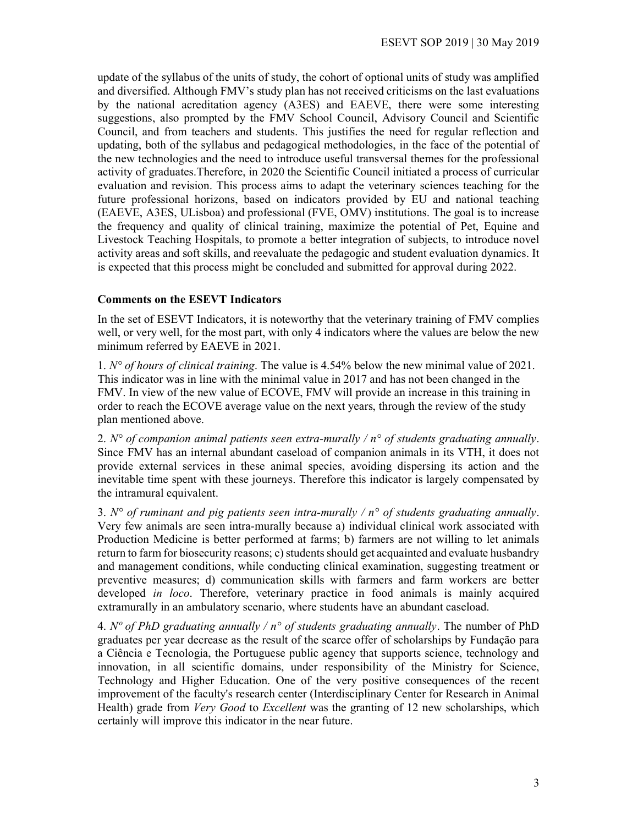update of the syllabus of the units of study, the cohort of optional units of study was amplified and diversified. Although FMV's study plan has not received criticisms on the last evaluations by the national acreditation agency (A3ES) and EAEVE, there were some interesting suggestions, also prompted by the FMV School Council, Advisory Council and Scientific Council, and from teachers and students. This justifies the need for regular reflection and updating, both of the syllabus and pedagogical methodologies, in the face of the potential of the new technologies and the need to introduce useful transversal themes for the professional activity of graduates.Therefore, in 2020 the Scientific Council initiated a process of curricular evaluation and revision. This process aims to adapt the veterinary sciences teaching for the future professional horizons, based on indicators provided by EU and national teaching (EAEVE, A3ES, ULisboa) and professional (FVE, OMV) institutions. The goal is to increase the frequency and quality of clinical training, maximize the potential of Pet, Equine and Livestock Teaching Hospitals, to promote a better integration of subjects, to introduce novel activity areas and soft skills, and reevaluate the pedagogic and student evaluation dynamics. It is expected that this process might be concluded and submitted for approval during 2022.

#### Comments on the ESEVT Indicators

In the set of ESEVT Indicators, it is noteworthy that the veterinary training of FMV complies well, or very well, for the most part, with only 4 indicators where the values are below the new minimum referred by EAEVE in 2021.

1.  $N^{\circ}$  of hours of clinical training. The value is 4.54% below the new minimal value of 2021. This indicator was in line with the minimal value in 2017 and has not been changed in the FMV. In view of the new value of ECOVE, FMV will provide an increase in this training in order to reach the ECOVE average value on the next years, through the review of the study plan mentioned above.

2. N° of companion animal patients seen extra-murally /  $n^{\circ}$  of students graduating annually. Since FMV has an internal abundant caseload of companion animals in its VTH, it does not provide external services in these animal species, avoiding dispersing its action and the inevitable time spent with these journeys. Therefore this indicator is largely compensated by the intramural equivalent.

3. N° of ruminant and pig patients seen intra-murally /  $n^{\circ}$  of students graduating annually. Very few animals are seen intra-murally because a) individual clinical work associated with Production Medicine is better performed at farms; b) farmers are not willing to let animals return to farm for biosecurity reasons; c) students should get acquainted and evaluate husbandry and management conditions, while conducting clinical examination, suggesting treatment or preventive measures; d) communication skills with farmers and farm workers are better developed in loco. Therefore, veterinary practice in food animals is mainly acquired extramurally in an ambulatory scenario, where students have an abundant caseload.

4. N° of PhD graduating annually /  $n^{\circ}$  of students graduating annually. The number of PhD graduates per year decrease as the result of the scarce offer of scholarships by Fundação para a Ciência e Tecnologia, the Portuguese public agency that supports science, technology and innovation, in all scientific domains, under responsibility of the Ministry for Science, Technology and Higher Education. One of the very positive consequences of the recent improvement of the faculty's research center (Interdisciplinary Center for Research in Animal Health) grade from *Very Good* to *Excellent* was the granting of 12 new scholarships, which certainly will improve this indicator in the near future.